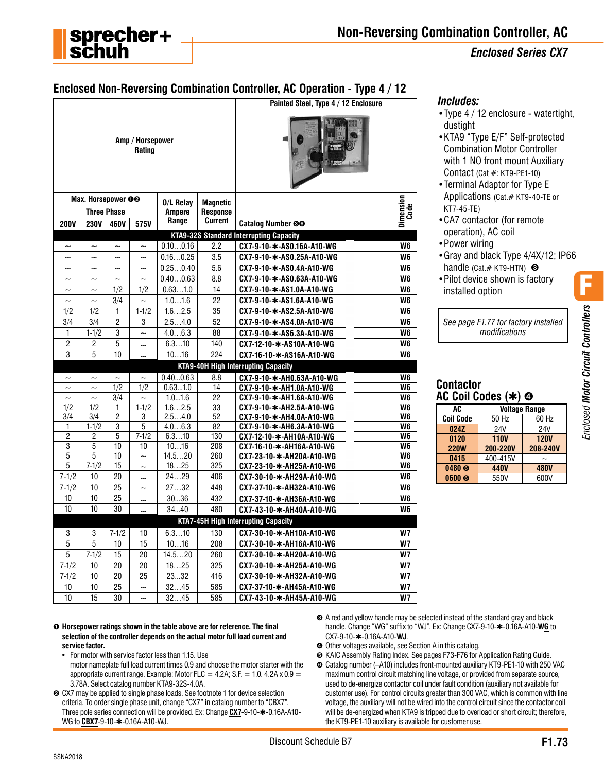

# *Enclosed Series CX7*

# **Enclosed Non-Reversing Combination Controller, AC Operation - Type 4 / 12**

| Amp / Horsepower<br>Rating<br>Max. Horsepower OO<br>Dimension<br>Code<br>0/L Relav<br><b>Magnetic</b><br><b>Three Phase</b><br><b>Ampere</b><br><b>Response</b><br><b>Current</b><br>Range<br><b>230V</b><br>Catalog Number <sup>60</sup><br><b>200V</b><br>460V<br>575V<br><b>KTA9-32S Standard Interrupting Capacity</b><br>2.2<br>CX7-9-10-*-AS0.16A-A10-WG<br>W <sub>6</sub><br>0.100.16<br>$\sim$<br>$\sim$<br>$\tilde{\phantom{a}}$<br>$\tilde{\phantom{a}}$<br>0.160.25<br>3.5<br>W <sub>6</sub><br>CX7-9-10-*-AS0.25A-A10-WG<br>$\sim$<br>$\sim$<br>$\sim$<br>$\sim$<br>0.250.40<br>5.6<br>CX7-9-10-*-AS0.4A-A10-WG<br>W6<br>$\sim$<br>$\sim$<br>$\sim$<br>$\sim$<br>0.400.63<br>8.8<br>W <sub>6</sub><br>CX7-9-10-*-AS0.63A-A10-WG<br>$\overline{\phantom{0}}$<br>$\sim$<br>$\overline{\phantom{0}}$<br>$\tilde{}$<br>14<br>1/2<br>1/2<br>0.631.0<br>CX7-9-10-*-AS1.0A-A10-WG<br>W <sub>6</sub><br>$\tilde{}$<br>$\tilde{\phantom{a}}$<br>22<br>3/4<br>1.01.6<br>W <sub>6</sub><br>CX7-9-10-*-AS1.6A-A10-WG<br>$\sim$<br>$\sim$<br>$\widetilde{\phantom{m}}$<br>$1-1/2$<br>35<br>1/2<br>1/2<br>1<br>1.62.5<br>CX7-9-10-*-AS2.5A-A10-WG<br>W6<br>$\overline{2}$<br>2.54.0<br>3/4<br>3/4<br>3<br>52<br>W <sub>6</sub><br>CX7-9-10-*-AS4.0A-A10-WG<br>3<br>1<br>$1 - 1/2$<br>4.06.3<br>88<br>W <sub>6</sub><br>CX7-9-10-*-AS6.3A-A10-WG<br>$\sim$<br>$\overline{c}$<br>5<br>6.310<br>140<br>2<br>CX7-12-10-*-AS10A-A10-WG<br>W6<br>3<br>10<br>224<br>5<br>1016<br>W <sub>6</sub><br>CX7-16-10-*-AS16A-A10-WG<br>$\sim$<br><b>KTA9-40H High Interrupting Capacity</b><br>CX7-9-10-*-AH0.63A-A10-WG<br>0.400.63<br>8.8<br>W <sub>6</sub><br>$\sim$<br>$\sim$<br>$\sim$<br>$\tilde{\phantom{a}}$<br>1/2<br>0.631.0<br>1/2<br>14<br>W <sub>6</sub><br>CX7-9-10-*-AH1.0A-A10-WG<br>$\tilde{}$<br>$\tilde{}$<br>22<br>3/4<br>1.01.6<br>CX7-9-10-*-AH1.6A-A10-WG<br>W6<br>$\sim$<br>$\sim$<br>$\sim$<br>1/2<br>1/2<br>$1 - 1/2$<br>1.62.5<br>33<br>W <sub>6</sub><br>CX7-9-10-*-AH2.5A-A10-WG<br>1<br>3/4<br>$\overline{2}$<br>52<br>3/4<br>3<br>2.54.0<br>CX7-9-10-*-AH4.0A-A10-WG<br>W <sub>6</sub><br>$1 - 1/2$<br>3<br>5<br>4.06.3<br>82<br>W <sub>6</sub><br>1<br>CX7-9-10-*-AH6.3A-A10-WG<br>$\overline{c}$<br>5<br>130<br>2<br>$7 - 1/2$<br>6.310<br>W6<br>CX7-12-10-*-AH10A-A10-WG<br>3<br>5<br>10<br>10<br>208<br>1016<br>CX7-16-10-*-AH16A-A10-WG<br>W6<br>5<br>5<br>260<br>10<br>14.520<br>W <sub>6</sub><br>$\sim$<br>CX7-23-10-*-AH20A-A10-WG<br>5<br>$7 - 1/2$<br>15<br>1825<br>325<br>W <sub>6</sub><br>CX7-23-10-*-AH25A-A10-WG<br>$\sim$<br>$7 - 1/2$<br>20<br>406<br>10<br>2429<br>CX7-30-10-*-AH29A-A10-WG<br>W6<br>$\sim$<br>25<br>2732<br>$7 - 1/2$<br>10<br>448<br>CX7-37-10-*-AH32A-A10-WG<br>W <sub>6</sub><br>$\sim$<br>10<br>25<br>10<br>432<br>3036<br>W <sub>6</sub><br>CX7-37-10-*-AH36A-A10-WG<br>$\sim$<br>10<br>10<br>30<br>3440<br>480<br>W <sub>6</sub><br>CX7-43-10-*-AH40A-A10-WG<br><b>KTA7-45H High Interrupting Capacity</b><br>3<br>$7 - 1/2$<br>6.310<br>130<br>CX7-30-10-*-AH10A-A10-WG<br><b>W7</b><br>3<br>10<br>5<br>5<br>15<br>1016<br>208<br>10<br>CX7-30-10-*-AH16A-A10-WG<br>W7<br>5<br>$7 - 1/2$<br>20<br>15<br>14.520<br>260<br>CX7-30-10-*-AH20A-A10-WG<br><b>W7</b> |  |  |  | Painted Steel, Type 4 / 12 Enclosure |  |
|-------------------------------------------------------------------------------------------------------------------------------------------------------------------------------------------------------------------------------------------------------------------------------------------------------------------------------------------------------------------------------------------------------------------------------------------------------------------------------------------------------------------------------------------------------------------------------------------------------------------------------------------------------------------------------------------------------------------------------------------------------------------------------------------------------------------------------------------------------------------------------------------------------------------------------------------------------------------------------------------------------------------------------------------------------------------------------------------------------------------------------------------------------------------------------------------------------------------------------------------------------------------------------------------------------------------------------------------------------------------------------------------------------------------------------------------------------------------------------------------------------------------------------------------------------------------------------------------------------------------------------------------------------------------------------------------------------------------------------------------------------------------------------------------------------------------------------------------------------------------------------------------------------------------------------------------------------------------------------------------------------------------------------------------------------------------------------------------------------------------------------------------------------------------------------------------------------------------------------------------------------------------------------------------------------------------------------------------------------------------------------------------------------------------------------------------------------------------------------------------------------------------------------------------------------------------------------------------------------------------------------------------------------------------------------------------------------------------------------------------------------------------------------------------------------------------------------------------------------------------------------------------------------------------------------------------------------------------------------------------------------------------------------------------------------------------------------------------------------------------------------------------------------------------------------------------------------------------------|--|--|--|--------------------------------------|--|
|                                                                                                                                                                                                                                                                                                                                                                                                                                                                                                                                                                                                                                                                                                                                                                                                                                                                                                                                                                                                                                                                                                                                                                                                                                                                                                                                                                                                                                                                                                                                                                                                                                                                                                                                                                                                                                                                                                                                                                                                                                                                                                                                                                                                                                                                                                                                                                                                                                                                                                                                                                                                                                                                                                                                                                                                                                                                                                                                                                                                                                                                                                                                                                                                                         |  |  |  |                                      |  |
|                                                                                                                                                                                                                                                                                                                                                                                                                                                                                                                                                                                                                                                                                                                                                                                                                                                                                                                                                                                                                                                                                                                                                                                                                                                                                                                                                                                                                                                                                                                                                                                                                                                                                                                                                                                                                                                                                                                                                                                                                                                                                                                                                                                                                                                                                                                                                                                                                                                                                                                                                                                                                                                                                                                                                                                                                                                                                                                                                                                                                                                                                                                                                                                                                         |  |  |  |                                      |  |
|                                                                                                                                                                                                                                                                                                                                                                                                                                                                                                                                                                                                                                                                                                                                                                                                                                                                                                                                                                                                                                                                                                                                                                                                                                                                                                                                                                                                                                                                                                                                                                                                                                                                                                                                                                                                                                                                                                                                                                                                                                                                                                                                                                                                                                                                                                                                                                                                                                                                                                                                                                                                                                                                                                                                                                                                                                                                                                                                                                                                                                                                                                                                                                                                                         |  |  |  |                                      |  |
|                                                                                                                                                                                                                                                                                                                                                                                                                                                                                                                                                                                                                                                                                                                                                                                                                                                                                                                                                                                                                                                                                                                                                                                                                                                                                                                                                                                                                                                                                                                                                                                                                                                                                                                                                                                                                                                                                                                                                                                                                                                                                                                                                                                                                                                                                                                                                                                                                                                                                                                                                                                                                                                                                                                                                                                                                                                                                                                                                                                                                                                                                                                                                                                                                         |  |  |  |                                      |  |
|                                                                                                                                                                                                                                                                                                                                                                                                                                                                                                                                                                                                                                                                                                                                                                                                                                                                                                                                                                                                                                                                                                                                                                                                                                                                                                                                                                                                                                                                                                                                                                                                                                                                                                                                                                                                                                                                                                                                                                                                                                                                                                                                                                                                                                                                                                                                                                                                                                                                                                                                                                                                                                                                                                                                                                                                                                                                                                                                                                                                                                                                                                                                                                                                                         |  |  |  |                                      |  |
|                                                                                                                                                                                                                                                                                                                                                                                                                                                                                                                                                                                                                                                                                                                                                                                                                                                                                                                                                                                                                                                                                                                                                                                                                                                                                                                                                                                                                                                                                                                                                                                                                                                                                                                                                                                                                                                                                                                                                                                                                                                                                                                                                                                                                                                                                                                                                                                                                                                                                                                                                                                                                                                                                                                                                                                                                                                                                                                                                                                                                                                                                                                                                                                                                         |  |  |  |                                      |  |
|                                                                                                                                                                                                                                                                                                                                                                                                                                                                                                                                                                                                                                                                                                                                                                                                                                                                                                                                                                                                                                                                                                                                                                                                                                                                                                                                                                                                                                                                                                                                                                                                                                                                                                                                                                                                                                                                                                                                                                                                                                                                                                                                                                                                                                                                                                                                                                                                                                                                                                                                                                                                                                                                                                                                                                                                                                                                                                                                                                                                                                                                                                                                                                                                                         |  |  |  |                                      |  |
|                                                                                                                                                                                                                                                                                                                                                                                                                                                                                                                                                                                                                                                                                                                                                                                                                                                                                                                                                                                                                                                                                                                                                                                                                                                                                                                                                                                                                                                                                                                                                                                                                                                                                                                                                                                                                                                                                                                                                                                                                                                                                                                                                                                                                                                                                                                                                                                                                                                                                                                                                                                                                                                                                                                                                                                                                                                                                                                                                                                                                                                                                                                                                                                                                         |  |  |  |                                      |  |
|                                                                                                                                                                                                                                                                                                                                                                                                                                                                                                                                                                                                                                                                                                                                                                                                                                                                                                                                                                                                                                                                                                                                                                                                                                                                                                                                                                                                                                                                                                                                                                                                                                                                                                                                                                                                                                                                                                                                                                                                                                                                                                                                                                                                                                                                                                                                                                                                                                                                                                                                                                                                                                                                                                                                                                                                                                                                                                                                                                                                                                                                                                                                                                                                                         |  |  |  |                                      |  |
|                                                                                                                                                                                                                                                                                                                                                                                                                                                                                                                                                                                                                                                                                                                                                                                                                                                                                                                                                                                                                                                                                                                                                                                                                                                                                                                                                                                                                                                                                                                                                                                                                                                                                                                                                                                                                                                                                                                                                                                                                                                                                                                                                                                                                                                                                                                                                                                                                                                                                                                                                                                                                                                                                                                                                                                                                                                                                                                                                                                                                                                                                                                                                                                                                         |  |  |  |                                      |  |
|                                                                                                                                                                                                                                                                                                                                                                                                                                                                                                                                                                                                                                                                                                                                                                                                                                                                                                                                                                                                                                                                                                                                                                                                                                                                                                                                                                                                                                                                                                                                                                                                                                                                                                                                                                                                                                                                                                                                                                                                                                                                                                                                                                                                                                                                                                                                                                                                                                                                                                                                                                                                                                                                                                                                                                                                                                                                                                                                                                                                                                                                                                                                                                                                                         |  |  |  |                                      |  |
|                                                                                                                                                                                                                                                                                                                                                                                                                                                                                                                                                                                                                                                                                                                                                                                                                                                                                                                                                                                                                                                                                                                                                                                                                                                                                                                                                                                                                                                                                                                                                                                                                                                                                                                                                                                                                                                                                                                                                                                                                                                                                                                                                                                                                                                                                                                                                                                                                                                                                                                                                                                                                                                                                                                                                                                                                                                                                                                                                                                                                                                                                                                                                                                                                         |  |  |  |                                      |  |
|                                                                                                                                                                                                                                                                                                                                                                                                                                                                                                                                                                                                                                                                                                                                                                                                                                                                                                                                                                                                                                                                                                                                                                                                                                                                                                                                                                                                                                                                                                                                                                                                                                                                                                                                                                                                                                                                                                                                                                                                                                                                                                                                                                                                                                                                                                                                                                                                                                                                                                                                                                                                                                                                                                                                                                                                                                                                                                                                                                                                                                                                                                                                                                                                                         |  |  |  |                                      |  |
|                                                                                                                                                                                                                                                                                                                                                                                                                                                                                                                                                                                                                                                                                                                                                                                                                                                                                                                                                                                                                                                                                                                                                                                                                                                                                                                                                                                                                                                                                                                                                                                                                                                                                                                                                                                                                                                                                                                                                                                                                                                                                                                                                                                                                                                                                                                                                                                                                                                                                                                                                                                                                                                                                                                                                                                                                                                                                                                                                                                                                                                                                                                                                                                                                         |  |  |  |                                      |  |
|                                                                                                                                                                                                                                                                                                                                                                                                                                                                                                                                                                                                                                                                                                                                                                                                                                                                                                                                                                                                                                                                                                                                                                                                                                                                                                                                                                                                                                                                                                                                                                                                                                                                                                                                                                                                                                                                                                                                                                                                                                                                                                                                                                                                                                                                                                                                                                                                                                                                                                                                                                                                                                                                                                                                                                                                                                                                                                                                                                                                                                                                                                                                                                                                                         |  |  |  |                                      |  |
|                                                                                                                                                                                                                                                                                                                                                                                                                                                                                                                                                                                                                                                                                                                                                                                                                                                                                                                                                                                                                                                                                                                                                                                                                                                                                                                                                                                                                                                                                                                                                                                                                                                                                                                                                                                                                                                                                                                                                                                                                                                                                                                                                                                                                                                                                                                                                                                                                                                                                                                                                                                                                                                                                                                                                                                                                                                                                                                                                                                                                                                                                                                                                                                                                         |  |  |  |                                      |  |
|                                                                                                                                                                                                                                                                                                                                                                                                                                                                                                                                                                                                                                                                                                                                                                                                                                                                                                                                                                                                                                                                                                                                                                                                                                                                                                                                                                                                                                                                                                                                                                                                                                                                                                                                                                                                                                                                                                                                                                                                                                                                                                                                                                                                                                                                                                                                                                                                                                                                                                                                                                                                                                                                                                                                                                                                                                                                                                                                                                                                                                                                                                                                                                                                                         |  |  |  |                                      |  |
|                                                                                                                                                                                                                                                                                                                                                                                                                                                                                                                                                                                                                                                                                                                                                                                                                                                                                                                                                                                                                                                                                                                                                                                                                                                                                                                                                                                                                                                                                                                                                                                                                                                                                                                                                                                                                                                                                                                                                                                                                                                                                                                                                                                                                                                                                                                                                                                                                                                                                                                                                                                                                                                                                                                                                                                                                                                                                                                                                                                                                                                                                                                                                                                                                         |  |  |  |                                      |  |
|                                                                                                                                                                                                                                                                                                                                                                                                                                                                                                                                                                                                                                                                                                                                                                                                                                                                                                                                                                                                                                                                                                                                                                                                                                                                                                                                                                                                                                                                                                                                                                                                                                                                                                                                                                                                                                                                                                                                                                                                                                                                                                                                                                                                                                                                                                                                                                                                                                                                                                                                                                                                                                                                                                                                                                                                                                                                                                                                                                                                                                                                                                                                                                                                                         |  |  |  |                                      |  |
|                                                                                                                                                                                                                                                                                                                                                                                                                                                                                                                                                                                                                                                                                                                                                                                                                                                                                                                                                                                                                                                                                                                                                                                                                                                                                                                                                                                                                                                                                                                                                                                                                                                                                                                                                                                                                                                                                                                                                                                                                                                                                                                                                                                                                                                                                                                                                                                                                                                                                                                                                                                                                                                                                                                                                                                                                                                                                                                                                                                                                                                                                                                                                                                                                         |  |  |  |                                      |  |
|                                                                                                                                                                                                                                                                                                                                                                                                                                                                                                                                                                                                                                                                                                                                                                                                                                                                                                                                                                                                                                                                                                                                                                                                                                                                                                                                                                                                                                                                                                                                                                                                                                                                                                                                                                                                                                                                                                                                                                                                                                                                                                                                                                                                                                                                                                                                                                                                                                                                                                                                                                                                                                                                                                                                                                                                                                                                                                                                                                                                                                                                                                                                                                                                                         |  |  |  |                                      |  |
|                                                                                                                                                                                                                                                                                                                                                                                                                                                                                                                                                                                                                                                                                                                                                                                                                                                                                                                                                                                                                                                                                                                                                                                                                                                                                                                                                                                                                                                                                                                                                                                                                                                                                                                                                                                                                                                                                                                                                                                                                                                                                                                                                                                                                                                                                                                                                                                                                                                                                                                                                                                                                                                                                                                                                                                                                                                                                                                                                                                                                                                                                                                                                                                                                         |  |  |  |                                      |  |
|                                                                                                                                                                                                                                                                                                                                                                                                                                                                                                                                                                                                                                                                                                                                                                                                                                                                                                                                                                                                                                                                                                                                                                                                                                                                                                                                                                                                                                                                                                                                                                                                                                                                                                                                                                                                                                                                                                                                                                                                                                                                                                                                                                                                                                                                                                                                                                                                                                                                                                                                                                                                                                                                                                                                                                                                                                                                                                                                                                                                                                                                                                                                                                                                                         |  |  |  |                                      |  |
|                                                                                                                                                                                                                                                                                                                                                                                                                                                                                                                                                                                                                                                                                                                                                                                                                                                                                                                                                                                                                                                                                                                                                                                                                                                                                                                                                                                                                                                                                                                                                                                                                                                                                                                                                                                                                                                                                                                                                                                                                                                                                                                                                                                                                                                                                                                                                                                                                                                                                                                                                                                                                                                                                                                                                                                                                                                                                                                                                                                                                                                                                                                                                                                                                         |  |  |  |                                      |  |
|                                                                                                                                                                                                                                                                                                                                                                                                                                                                                                                                                                                                                                                                                                                                                                                                                                                                                                                                                                                                                                                                                                                                                                                                                                                                                                                                                                                                                                                                                                                                                                                                                                                                                                                                                                                                                                                                                                                                                                                                                                                                                                                                                                                                                                                                                                                                                                                                                                                                                                                                                                                                                                                                                                                                                                                                                                                                                                                                                                                                                                                                                                                                                                                                                         |  |  |  |                                      |  |
|                                                                                                                                                                                                                                                                                                                                                                                                                                                                                                                                                                                                                                                                                                                                                                                                                                                                                                                                                                                                                                                                                                                                                                                                                                                                                                                                                                                                                                                                                                                                                                                                                                                                                                                                                                                                                                                                                                                                                                                                                                                                                                                                                                                                                                                                                                                                                                                                                                                                                                                                                                                                                                                                                                                                                                                                                                                                                                                                                                                                                                                                                                                                                                                                                         |  |  |  |                                      |  |
|                                                                                                                                                                                                                                                                                                                                                                                                                                                                                                                                                                                                                                                                                                                                                                                                                                                                                                                                                                                                                                                                                                                                                                                                                                                                                                                                                                                                                                                                                                                                                                                                                                                                                                                                                                                                                                                                                                                                                                                                                                                                                                                                                                                                                                                                                                                                                                                                                                                                                                                                                                                                                                                                                                                                                                                                                                                                                                                                                                                                                                                                                                                                                                                                                         |  |  |  |                                      |  |
|                                                                                                                                                                                                                                                                                                                                                                                                                                                                                                                                                                                                                                                                                                                                                                                                                                                                                                                                                                                                                                                                                                                                                                                                                                                                                                                                                                                                                                                                                                                                                                                                                                                                                                                                                                                                                                                                                                                                                                                                                                                                                                                                                                                                                                                                                                                                                                                                                                                                                                                                                                                                                                                                                                                                                                                                                                                                                                                                                                                                                                                                                                                                                                                                                         |  |  |  |                                      |  |
|                                                                                                                                                                                                                                                                                                                                                                                                                                                                                                                                                                                                                                                                                                                                                                                                                                                                                                                                                                                                                                                                                                                                                                                                                                                                                                                                                                                                                                                                                                                                                                                                                                                                                                                                                                                                                                                                                                                                                                                                                                                                                                                                                                                                                                                                                                                                                                                                                                                                                                                                                                                                                                                                                                                                                                                                                                                                                                                                                                                                                                                                                                                                                                                                                         |  |  |  |                                      |  |
|                                                                                                                                                                                                                                                                                                                                                                                                                                                                                                                                                                                                                                                                                                                                                                                                                                                                                                                                                                                                                                                                                                                                                                                                                                                                                                                                                                                                                                                                                                                                                                                                                                                                                                                                                                                                                                                                                                                                                                                                                                                                                                                                                                                                                                                                                                                                                                                                                                                                                                                                                                                                                                                                                                                                                                                                                                                                                                                                                                                                                                                                                                                                                                                                                         |  |  |  |                                      |  |
|                                                                                                                                                                                                                                                                                                                                                                                                                                                                                                                                                                                                                                                                                                                                                                                                                                                                                                                                                                                                                                                                                                                                                                                                                                                                                                                                                                                                                                                                                                                                                                                                                                                                                                                                                                                                                                                                                                                                                                                                                                                                                                                                                                                                                                                                                                                                                                                                                                                                                                                                                                                                                                                                                                                                                                                                                                                                                                                                                                                                                                                                                                                                                                                                                         |  |  |  |                                      |  |
|                                                                                                                                                                                                                                                                                                                                                                                                                                                                                                                                                                                                                                                                                                                                                                                                                                                                                                                                                                                                                                                                                                                                                                                                                                                                                                                                                                                                                                                                                                                                                                                                                                                                                                                                                                                                                                                                                                                                                                                                                                                                                                                                                                                                                                                                                                                                                                                                                                                                                                                                                                                                                                                                                                                                                                                                                                                                                                                                                                                                                                                                                                                                                                                                                         |  |  |  |                                      |  |
|                                                                                                                                                                                                                                                                                                                                                                                                                                                                                                                                                                                                                                                                                                                                                                                                                                                                                                                                                                                                                                                                                                                                                                                                                                                                                                                                                                                                                                                                                                                                                                                                                                                                                                                                                                                                                                                                                                                                                                                                                                                                                                                                                                                                                                                                                                                                                                                                                                                                                                                                                                                                                                                                                                                                                                                                                                                                                                                                                                                                                                                                                                                                                                                                                         |  |  |  |                                      |  |
|                                                                                                                                                                                                                                                                                                                                                                                                                                                                                                                                                                                                                                                                                                                                                                                                                                                                                                                                                                                                                                                                                                                                                                                                                                                                                                                                                                                                                                                                                                                                                                                                                                                                                                                                                                                                                                                                                                                                                                                                                                                                                                                                                                                                                                                                                                                                                                                                                                                                                                                                                                                                                                                                                                                                                                                                                                                                                                                                                                                                                                                                                                                                                                                                                         |  |  |  |                                      |  |
|                                                                                                                                                                                                                                                                                                                                                                                                                                                                                                                                                                                                                                                                                                                                                                                                                                                                                                                                                                                                                                                                                                                                                                                                                                                                                                                                                                                                                                                                                                                                                                                                                                                                                                                                                                                                                                                                                                                                                                                                                                                                                                                                                                                                                                                                                                                                                                                                                                                                                                                                                                                                                                                                                                                                                                                                                                                                                                                                                                                                                                                                                                                                                                                                                         |  |  |  |                                      |  |
|                                                                                                                                                                                                                                                                                                                                                                                                                                                                                                                                                                                                                                                                                                                                                                                                                                                                                                                                                                                                                                                                                                                                                                                                                                                                                                                                                                                                                                                                                                                                                                                                                                                                                                                                                                                                                                                                                                                                                                                                                                                                                                                                                                                                                                                                                                                                                                                                                                                                                                                                                                                                                                                                                                                                                                                                                                                                                                                                                                                                                                                                                                                                                                                                                         |  |  |  |                                      |  |
| 20<br>1825<br>$7 - 1/2$<br>10<br>20<br>325<br>CX7-30-10-*-AH25A-A10-WG<br><b>W7</b>                                                                                                                                                                                                                                                                                                                                                                                                                                                                                                                                                                                                                                                                                                                                                                                                                                                                                                                                                                                                                                                                                                                                                                                                                                                                                                                                                                                                                                                                                                                                                                                                                                                                                                                                                                                                                                                                                                                                                                                                                                                                                                                                                                                                                                                                                                                                                                                                                                                                                                                                                                                                                                                                                                                                                                                                                                                                                                                                                                                                                                                                                                                                     |  |  |  |                                      |  |
| 2332<br>$7 - 1/2$<br>10<br>20<br>25<br>416<br>CX7-30-10-*-AH32A-A10-WG<br>W7                                                                                                                                                                                                                                                                                                                                                                                                                                                                                                                                                                                                                                                                                                                                                                                                                                                                                                                                                                                                                                                                                                                                                                                                                                                                                                                                                                                                                                                                                                                                                                                                                                                                                                                                                                                                                                                                                                                                                                                                                                                                                                                                                                                                                                                                                                                                                                                                                                                                                                                                                                                                                                                                                                                                                                                                                                                                                                                                                                                                                                                                                                                                            |  |  |  |                                      |  |
| 10<br>25<br>10<br>$\sim$<br>3245<br>585<br>CX7-37-10-*-AH45A-A10-WG<br><b>W7</b>                                                                                                                                                                                                                                                                                                                                                                                                                                                                                                                                                                                                                                                                                                                                                                                                                                                                                                                                                                                                                                                                                                                                                                                                                                                                                                                                                                                                                                                                                                                                                                                                                                                                                                                                                                                                                                                                                                                                                                                                                                                                                                                                                                                                                                                                                                                                                                                                                                                                                                                                                                                                                                                                                                                                                                                                                                                                                                                                                                                                                                                                                                                                        |  |  |  |                                      |  |
| 10<br>15<br>30<br>3245<br>585<br><b>W7</b><br>CX7-43-10-*-AH45A-A10-WG<br>$\sim$                                                                                                                                                                                                                                                                                                                                                                                                                                                                                                                                                                                                                                                                                                                                                                                                                                                                                                                                                                                                                                                                                                                                                                                                                                                                                                                                                                                                                                                                                                                                                                                                                                                                                                                                                                                                                                                                                                                                                                                                                                                                                                                                                                                                                                                                                                                                                                                                                                                                                                                                                                                                                                                                                                                                                                                                                                                                                                                                                                                                                                                                                                                                        |  |  |  |                                      |  |

#### *Includes:*

- •Type 4 / 12 enclosure watertight, dustight
- •KTA9 "Type E/F" Self-protected Combination Motor Controller with 1 NO front mount Auxiliary Contact (Cat #: KT9-PE1-10)
- •Terminal Adaptor for Type E Applications (Cat.# KT9-40-TE or KT7-45-TE)
- •CA7 contactor (for remote operation), AC coil
- •Power wiring
- •Gray and black Type 4/4X/12; IP66 handle (Cat.# KT9-HTN) <sup>8</sup>
- •Pilot device shown is factory installed option

*See page F1.77 for factory installed modifications*

# **Contactor AC Coil Codes (**✱**)** ➍

| AC                |                 | <b>Voltage Range</b> |
|-------------------|-----------------|----------------------|
| <b>Coil Code</b>  | 50 Hz           | 60 Hz                |
| 024Z              | 24V             | <b>24V</b>           |
| 0120              | <b>110V</b>     | <b>120V</b>          |
| <b>220W</b>       | <b>200-220V</b> | 208-240V             |
| 0415              | 400-415V        |                      |
| 0480 <sub>®</sub> | 440V            | <b>480V</b>          |
| 0600 <sub>®</sub> | 550V            | 600V                 |

#### ➊ **Horsepower ratings shown in the table above are for reference. The final selection of the controller depends on the actual motor full load current and service factor.**

- For motor with service factor less than 1.15. Use
- motor nameplate full load current times 0.9 and choose the motor starter with the appropriate current range. Example: Motor FLC =  $4.2A$ ; S.F. = 1.0.  $4.2A \times 0.9 =$ 3.78A. Select catalog number KTA9-32S-4.0A.
- **☉** CX7 may be applied to single phase loads. See footnote 1 for device selection criteria. To order single phase unit, change "CX7" in catalog number to "CBX7". Three pole series connection will be provided. Ex: Change **CX7**-9-10-✱-0.16A-A10- WG to **CBX7**-9-10-✱-0.16A-A10-WJ.
- ➌ A red and yellow handle may be selected instead of the standard gray and black handle. Change "WG" suffix to "WJ". Ex: Change CX7-9-10-✱-0.16A-A10-**WG** to CX7-9-10-✱-0.16A-A10-**WJ**.
- ➍ Other voltages available, see Section A in this catalog.
- ➎ KAIC Assembly Rating Index. See pages F73-F76 for Application Rating Guide.
- ➏ Catalog number (–A10) includes front-mounted auxiliary KT9-PE1-10 with 250 VAC maximum control circuit matching line voltage, or provided from separate source, used to de-energize contactor coil under fault condition (auxiliary not available for customer use). For control circuits greater than 300 VAC, which is common with line voltage, the auxiliary will not be wired into the control circuit since the contactor coil will be de-energized when KTA9 is tripped due to overload or short circuit; therefore, the KT9-PE1-10 auxiliary is available for customer use.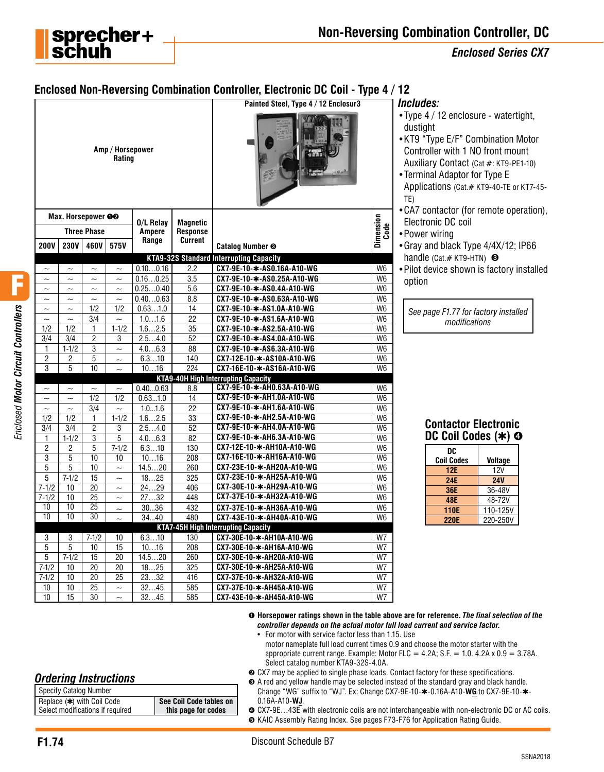

*Enclosed Series CX7*

# **Enclosed Non-Reversing Combination Controller, Electronic DC Coil - Type 4 / 12**

|                                  |                         |                         |                                        |                     |                                    | Painted Steel, Type 4 / 12 Enclosur3                    |                                  | Includes:                                                                                                                                                        |
|----------------------------------|-------------------------|-------------------------|----------------------------------------|---------------------|------------------------------------|---------------------------------------------------------|----------------------------------|------------------------------------------------------------------------------------------------------------------------------------------------------------------|
|                                  |                         |                         | Amp / Horsepower<br>Rating             |                     |                                    |                                                         |                                  | $\bullet$ Type 4 / 12 enclo<br>dustight<br>•KT9 "Type E/F" C<br>Controller with 1<br><b>Auxiliary Contact</b><br>• Terminal Adaptor<br>Applications (Cat.<br>TE) |
|                                  |                         | Max. Horsepower OO      |                                        |                     |                                    |                                                         |                                  | • CA7 contactor (fo<br>Electronic DC coi                                                                                                                         |
|                                  |                         | <b>Three Phase</b>      |                                        | 0/L Relay<br>Ampere | <b>Magnetic</b><br><b>Response</b> |                                                         |                                  | • Power wiring                                                                                                                                                   |
| <b>200V</b>                      | 230V                    | 460V                    | 575V                                   | Range               | <b>Current</b>                     | Catalog Number <sup>®</sup>                             | Dimension<br>Code                | • Gray and black Ty                                                                                                                                              |
|                                  |                         |                         |                                        |                     |                                    | <b>KTA9-32S Standard Interrupting Capacity</b>          |                                  | handle (Cat.# KT9-                                                                                                                                               |
| $\widetilde{\phantom{m}}$        | $\sim$                  | $\sim$                  | $\sim$                                 | 0.100.16            | 2.2                                | CX7-9E-10-*-AS0.16A-A10-WG                              | W <sub>6</sub>                   | · Pilot device show                                                                                                                                              |
| $\sim$                           | $\sim$                  | $\sim$                  | $\sim$                                 | 0.160.25            | 3.5                                | CX7-9E-10-*-AS0.25A-A10-WG                              | W <sub>6</sub>                   | option                                                                                                                                                           |
| $\sim$                           | $\sim$                  | $\sim$                  | $\sim$                                 | 0.250.40            | 5.6                                | CX7-9E-10-*-AS0.4A-A10-WG                               | W <sub>6</sub>                   |                                                                                                                                                                  |
| $\sim$                           | $\sim$                  | $\sim$                  | $\sim$                                 | 0.400.63            | 8.8                                | CX7-9E-10-*-AS0.63A-A10-WG                              | $\overline{\mathsf{W6}}$         |                                                                                                                                                                  |
| $\sim$                           | $\sim$                  | 1/2                     | 1/2                                    | 0.631.0             | 14                                 | CX7-9E-10-*-AS1.0A-A10-WG                               | W <sub>6</sub>                   | See page F1.77 fo.                                                                                                                                               |
| $\sim$                           | $\sim$                  | 3/4                     | $\sim$                                 | 1.01.6              | 22                                 | CX7-9E-10-*-AS1.6A-A10-WG                               | W <sub>6</sub>                   | modific                                                                                                                                                          |
| 1/2                              | 1/2                     | 1                       | $1 - 1/2$                              | 1.62.5              | 35                                 | CX7-9E-10-*-AS2.5A-A10-WG                               | W <sub>6</sub>                   |                                                                                                                                                                  |
| 3/4                              | 3/4                     | $\overline{2}$          | $\overline{3}$                         | 2.54.0              | $\overline{52}$                    | CX7-9E-10-*-AS4.0A-A10-WG                               | W <sub>6</sub>                   |                                                                                                                                                                  |
| $\mathbf{1}$                     | $1-1/2$                 | 3                       | $\sim$                                 | 4.06.3              | 88                                 | CX7-9E-10-*-AS6.3A-A10-WG                               | W <sub>6</sub>                   |                                                                                                                                                                  |
| $\overline{2}$                   | $\overline{c}$          | 5                       | $\sim$                                 | 6.310               | 140                                | CX7-12E-10-*-AS10A-A10-WG                               | W <sub>6</sub>                   |                                                                                                                                                                  |
| 3                                | 5                       | 10                      | $\sim$                                 | 1016                | 224                                | CX7-16E-10-*-AS16A-A10-WG                               | W <sub>6</sub>                   |                                                                                                                                                                  |
|                                  |                         |                         |                                        |                     |                                    | <b>KTA9-40H High Interrupting Capacity</b>              |                                  |                                                                                                                                                                  |
| $\sim$                           | $\sim$                  | $\sim$                  | $\sim$                                 | 0.400.63            | 8.8                                | CX7-9E-10-*-AH0.63A-A10-WG<br>CX7-9E-10-*-AH1.0A-A10-WG | W <sub>6</sub>                   |                                                                                                                                                                  |
| $\widetilde{\phantom{m}}$        | $\sim$<br>$\sim$        | $\overline{1/2}$<br>3/4 | 1/2                                    | 0.631.0<br>1.01.6   | 14<br>$\overline{22}$              | CX7-9E-10-*-AH1.6A-A10-WG                               | W <sub>6</sub><br>W <sub>6</sub> |                                                                                                                                                                  |
| $\widetilde{\phantom{m}}$<br>1/2 | 1/2                     | 1                       | $\widetilde{\phantom{m}}$<br>$1 - 1/2$ | 1.62.5              | 33                                 | CX7-9E-10-*-AH2.5A-A10-WG                               | W <sub>6</sub>                   |                                                                                                                                                                  |
| 3/4                              | 3/4                     | 2                       | 3                                      | 2.54.0              | $\overline{52}$                    | CX7-9E-10-*-AH4.0A-A10-WG                               | W <sub>6</sub>                   | <b>Contactor</b>                                                                                                                                                 |
| $\mathbf{1}$                     | $1-1/2$                 | 3                       | $\overline{5}$                         | 4.06.3              | 82                                 | CX7-9E-10-*-AH6.3A-A10-WG                               | W <sub>6</sub>                   | <b>DC Coil C</b>                                                                                                                                                 |
| $\overline{2}$                   | $\overline{\mathbf{c}}$ | 5                       | $7 - 1/2$                              | 6.310               | 130                                | CX7-12E-10-*-AH10A-A10-WG                               | W <sub>6</sub>                   |                                                                                                                                                                  |
| $\overline{3}$                   | 5                       | 10                      | 10                                     | 1016                | $\overline{208}$                   | CX7-16E-10-*-AH16A-A10-WG                               | W <sub>6</sub>                   | <b>DC</b>                                                                                                                                                        |
| 5                                | 5                       | 10                      | $\sim$                                 | 14.520              | 260                                | CX7-23E-10-*-AH20A-A10-WG                               | W <sub>6</sub>                   | <b>Coil Codes</b>                                                                                                                                                |
| 5                                | $7 - 1/2$               | 15                      | $\sim$                                 | 1825                | 325                                | CX7-23E-10-*-AH25A-A10-WG                               | W <sub>6</sub>                   | <b>12E</b>                                                                                                                                                       |
| $7 - 1/2$                        | 10                      | 20                      | $\sim$                                 | 2429                | 406                                | CX7-30E-10-*-AH29A-A10-WG                               | W <sub>6</sub>                   | 24E<br>36E                                                                                                                                                       |
| $7 - 1/2$                        | 10                      | 25                      | $\sim$                                 | 2732                | 448                                | CX7-37E-10-*-AH32A-A10-WG                               | W <sub>6</sub>                   | <b>48E</b>                                                                                                                                                       |
| 10                               | $\overline{10}$         | $\overline{25}$         | $\sim$                                 | 3036                | 432                                | CX7-37E-10-*-AH36A-A10-WG                               | W <sub>6</sub>                   | <b>110E</b>                                                                                                                                                      |
| $\overline{10}$                  | $\overline{10}$         | $\overline{30}$         |                                        | 3440                | 480                                | CX7-43E-10-*-AH40A-A10-WG                               | W <sub>6</sub>                   | <b>220E</b>                                                                                                                                                      |
|                                  |                         |                         |                                        |                     |                                    | <b>KTA7-45H High Interrupting Capacity</b>              |                                  |                                                                                                                                                                  |
| 3                                | 3                       | $7 - 1/2$               | 10                                     | 6.310               | 130                                | CX7-30E-10-*-AH10A-A10-WG                               | W7                               |                                                                                                                                                                  |
| 5                                | $\overline{5}$          | 10                      | 15                                     | 1016                | 208                                | CX7-30E-10-*-AH16A-A10-WG                               | W7                               |                                                                                                                                                                  |
| 5                                | $7 - 1/2$               | $\overline{15}$         | $\overline{20}$                        | 14.520              | 260                                | CX7-30E-10-*-AH20A-A10-WG                               | W7                               |                                                                                                                                                                  |
| $7 - 1/2$                        | 10                      | $\overline{20}$         | 20                                     | 1825                | 325                                | CX7-30E-10-*-AH25A-A10-WG                               | W7                               |                                                                                                                                                                  |
| $7-1/2$                          | 10                      | $\overline{20}$         | $\overline{25}$                        | 2332                | 416                                | CX7-37E-10-*-AH32A-A10-WG                               | W7                               |                                                                                                                                                                  |
| 10                               | $\overline{10}$         | $\overline{25}$         | $\sim$                                 | 3245                | 585                                | CX7-37E-10-*-AH45A-A10-WG                               | W7                               |                                                                                                                                                                  |
| 10                               | $\overline{15}$         | 30                      | $\sim$                                 | 3245                | 585                                | CX7-43E-10-*-AH45A-A10-WG                               | W7                               |                                                                                                                                                                  |

- sure watertight,
- Combination Motor NO front mount (Cat #: KT9-PE1-10)
- for Type E # KT9-40-TE or KT7-45-
- or remote operation), Electronic DC coil
- ype 4/4X/12; IP66  $HTN$ )  $\Theta$
- <sub>rn is factory installed</sub>

 *See page F1.77 for factory installed modifications*

| <b>Contactor Electronic</b> |  |
|-----------------------------|--|
| DC Coil Codes (*) @         |  |
|                             |  |

| DC          |                |
|-------------|----------------|
| Coil Codes  | <b>Voltage</b> |
| 12E         | 12V            |
| 24E         | <b>24V</b>     |
| 36E         | 36-48V         |
| <b>48E</b>  | 48-72V         |
| <b>110E</b> | 110-125V       |
| <b>220E</b> | 220-250V       |

➊ **Horsepower ratings shown in the table above are for reference.** *The final selection of the controller depends on the actual motor full load current and service factor.*

- For motor with service factor less than 1.15. Use
- motor nameplate full load current times 0.9 and choose the motor starter with the appropriate current range. Example: Motor FLC = 4.2A; S.F. = 1.0.  $4.2A \times 0.9 = 3.78A$ . Select catalog number KTA9-32S-4.0A.
- ➋ CX7 may be applied to single phase loads. Contact factory for these specifications.
- ➌ A red and yellow handle may be selected instead of the standard gray and black handle. Change "WG" suffix to "WJ". Ex: Change CX7-9E-10-✱-0.16A-A10-**WG** to CX7-9E-10-✱- 0.16A-A10-**WJ**.

#### ➍ CX7-9E…43E with electronic coils are not interchangeable with non-electronic DC or AC coils. ➎ KAIC Assembly Rating Index. See pages F73-F76 for Application Rating Guide.

*Ordering Instructions*

| See Coil Code tables on<br>this page for codes |
|------------------------------------------------|
|                                                |

F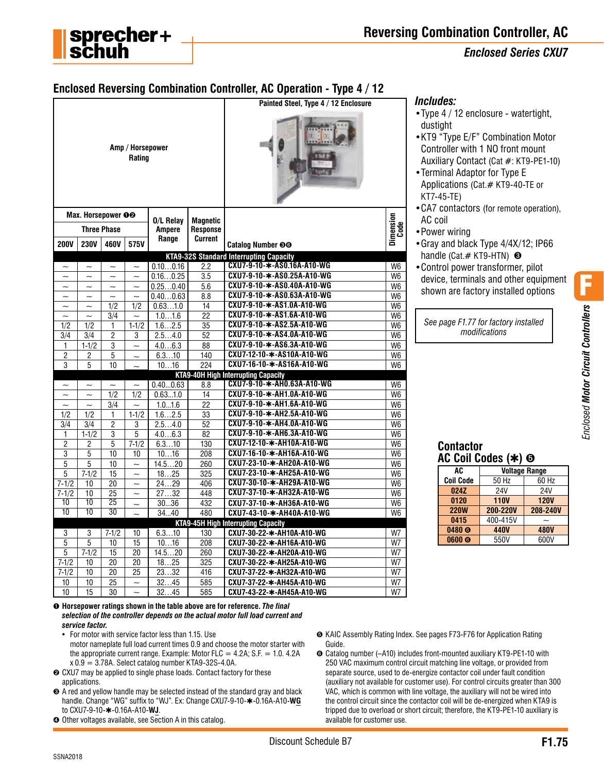

### *Enclosed Series CXU7*

# **Enclosed Reversing Combination Controller, AC Operation - Type 4 / 12**

|                           |                           |                           | Amp / Horsepower<br>Rating |                     |                                    | Painted Steel, Type 4 / 12 Enclosure           |                   |
|---------------------------|---------------------------|---------------------------|----------------------------|---------------------|------------------------------------|------------------------------------------------|-------------------|
|                           | Max. Horsepower OO        | <b>Three Phase</b>        |                            | 0/L Relay<br>Ampere | <b>Magnetic</b><br><b>Response</b> |                                                | Dimension<br>Code |
| <b>200V</b>               | <b>230V</b>               | 460V                      | 575V                       | Range               | <b>Current</b>                     | Catalog Number @@                              |                   |
|                           |                           |                           |                            |                     |                                    | <b>KTA9-32S Standard Interrupting Capacity</b> |                   |
| $\tilde{\phantom{a}}$     | $\widetilde{\phantom{m}}$ | $\sim$                    | $\sim$                     | 0.100.16            | 2.2                                | CXU7-9-10-*-AS0.16A-A10-WG                     | W <sub>6</sub>    |
| $\sim$                    | $\sim$                    | $\sim$                    | $\sim$                     | 0.160.25            | 3.5                                | CXU7-9-10-*-AS0.25A-A10-WG                     | W <sub>6</sub>    |
| $\widetilde{\phantom{m}}$ | $\widetilde{\phantom{m}}$ | $\widetilde{\phantom{m}}$ | $\sim$                     | 0.250.40            | 5.6                                | CXU7-9-10-*-AS0.40A-A10-WG                     | W <sub>6</sub>    |
| $\widetilde{\phantom{m}}$ | $\overline{\phantom{0}}$  | $\sim$                    | $\overline{\phantom{0}}$   | 0.400.63            | 8.8                                | CXU7-9-10-*-AS0.63A-A10-WG                     | W <sub>6</sub>    |
| $\widetilde{\phantom{m}}$ | $\tilde{\phantom{a}}$     | 1/2                       | 1/2                        | 0.631.0             | 14                                 | CXU7-9-10-*-AS1.0A-A10-WG                      | W <sub>6</sub>    |
| $\sim$                    | $\sim$                    | 3/4                       |                            | 1.01.6              | $\overline{22}$                    | CXU7-9-10-*-AS1.6A-A10-WG                      | W <sub>6</sub>    |
| 1/2                       | 1/2                       | 1                         | $1 - 1/2$                  | 1.62.5              | 35                                 | CXU7-9-10-*-AS2.5A-A10-WG                      | W <sub>6</sub>    |
| 3/4                       | 3/4                       | $\overline{2}$            | 3                          | 2.54.0              | 52                                 | CXU7-9-10-*-AS4.0A-A10-WG                      | W <sub>6</sub>    |
| 1                         | $1 - 1/2$                 | 3                         | $\ddot{\phantom{0}}$       | 4.06.3              | 88                                 | CXU7-9-10-*-AS6.3A-A10-WG                      | W <sub>6</sub>    |
| $\overline{2}$            | 2                         | $\overline{5}$            | $\sim$                     | 6.310               | 140                                | CXU7-12-10-*-AS10A-A10-WG                      | W <sub>6</sub>    |
| 3                         | 5                         | 10                        |                            | 1016                | 224                                | CXU7-16-10-*-AS16A-A10-WG                      | W <sub>6</sub>    |
|                           |                           |                           |                            |                     |                                    | <b>KTA9-40H High Interrupting Capacity</b>     |                   |
| $\widetilde{\phantom{m}}$ | $\tilde{}$                | $\tilde{}$                | $\sim$                     | 0.400.63            | 8.8                                | CXU7-9-10-*-AH0.63A-A10-WG                     | W <sub>6</sub>    |
| $\sim$                    | $\sim$                    | 1/2                       | 1/2                        | 0.631.0             | 14                                 | CXU7-9-10-*-AH1.0A-A10-WG                      | W <sub>6</sub>    |
| $\sim$                    | $\sim$                    | $\overline{3/4}$          | $\sim$                     | 1.01.6              | 22                                 | CXU7-9-10-*-AH1.6A-A10-WG                      | W <sub>6</sub>    |
| 1/2                       | 1/2                       | 1                         | $1-1/2$                    | 1.62.5              | 33                                 | CXU7-9-10-*-AH2.5A-A10-WG                      | W <sub>6</sub>    |
| 3/4                       | 3/4                       | $\overline{c}$            | 3                          | 2.54.0              | 52                                 | CXU7-9-10-*-AH4.0A-A10-WG                      | W <sub>6</sub>    |
| 1                         | $1 - 1/2$                 | 3                         | 5                          | 4.06.3              | 82                                 | CXU7-9-10-*-AH6.3A-A10-WG                      | W <sub>6</sub>    |
| $\overline{2}$            | 2                         | 5                         | $7 - 1/2$                  | 6.310               | 130                                | CXU7-12-10-*-AH10A-A10-WG                      | W <sub>6</sub>    |
| 3                         | 5                         | 10                        | 10                         | 1016                | 208                                | CXU7-16-10-*-AH16A-A10-WG                      | W <sub>6</sub>    |
| 5                         | 5                         | 10                        | $\sim$                     | 14.520              | 260                                | CXU7-23-10-*-AH20A-A10-WG                      | W <sub>6</sub>    |
| 5                         | $7 - 1/2$                 | 15                        | $\sim$                     | 1825                | 325                                | CXU7-23-10-*-AH25A-A10-WG                      | W <sub>6</sub>    |
| $7 - 1/2$                 | 10                        | 20                        | $\tilde{\phantom{a}}$      | 2429                | 406                                | CXU7-30-10-*-AH29A-A10-WG                      | W <sub>6</sub>    |
| $7 - 1/2$                 | 10                        | $\overline{25}$           | $\tilde{\phantom{a}}$      | 2732                | 448                                | CXU7-37-10-*-AH32A-A10-WG                      | W <sub>6</sub>    |
| $\overline{10}$           | $\overline{10}$           | 25                        | $\tilde{\phantom{a}}$      | 3036                | 432                                | CXU7-37-10-*-AH36A-A10-WG                      | W <sub>6</sub>    |
| 10                        | 10                        | 30                        | $\sim$                     | 3440                | 480                                | CXU7-43-10-*-AH40A-A10-WG                      | W <sub>6</sub>    |
|                           |                           |                           |                            |                     |                                    | <b>KTA9-45H High Interrupting Capacity</b>     |                   |
| 3                         | 3                         | $7 - 1/2$                 | 10                         | 6.310               | 130                                | CXU7-30-22-*-AH10A-A10-WG                      | W7                |
| $\overline{5}$            | 5                         | 10                        | 15                         | 1016                | 208                                | CXU7-30-22-*-AH16A-A10-WG                      | W7                |
| 5                         | $7 - 1/2$                 | $\overline{15}$           | $\overline{20}$            | 14.520              | 260                                | CXU7-30-22-*-AH20A-A10-WG                      | W7                |
| $7 - 1/2$                 | 10                        | 20                        | 20                         | 1825                | 325                                | CXU7-30-22-*-AH25A-A10-WG                      | W7                |
| $7-1/2$                   | 10                        | 20                        | 25                         | 2332                | 416                                | CXU7-37-22-*-AH32A-A10-WG                      | W7                |
| 10                        | 10                        | 25                        | $\sim$                     | 3245                | 585                                | CXU7-37-22-*-AH45A-A10-WG                      | W7                |
| 10                        | 15                        | 30                        | $\sim$                     | 3245                | 585                                | CXU7-43-22-*-AH45A-A10-WG                      | W7                |

### *Includes:*

- •Type 4 / 12 enclosure watertight, dustight
- •KT9 "Type E/F" Combination Motor Controller with 1 NO front mount Auxiliary Contact (Cat #: KT9-PE1-10)
- •Terminal Adaptor for Type E Applications (Cat.# KT9-40-TE or KT7-45-TE)
- •CA7 contactors (for remote operation), AC coil
- •Power wiring
- •Gray and black Type 4/4X/12; IP66 handle (Cat.# KT9-HTN) <sup>●</sup>
- •Control power transformer, pilot device, terminals and other equipment shown are factory installed options

*See page F1.77 for factory installed modifications*

F

# **Contactor AC Coil Codes (**✱**)** ➎

| AC                | <b>Voltage Range</b> |             |  |  |
|-------------------|----------------------|-------------|--|--|
| <b>Coil Code</b>  | 50 Hz                | 60 Hz       |  |  |
| 024Z              | <b>24V</b>           | <b>24V</b>  |  |  |
| 0120              | <b>110V</b>          | <b>120V</b> |  |  |
| <b>220W</b>       | 200-220V             | 208-240V    |  |  |
| 0415              | 400-415V             |             |  |  |
| 0480 <sub>®</sub> | 440V                 | <b>480V</b> |  |  |
| 0600 <sub>®</sub> | 550V                 | 600V        |  |  |

- ➊ **Horsepower ratings shown in the table above are for reference.** *The final selection of the controller depends on the actual motor full load current and service factor.*
	- For motor with service factor less than 1.15. Use
	- motor nameplate full load current times 0.9 and choose the motor starter with the appropriate current range. Example: Motor FLC =  $4.2A$ ; S.F. = 1.0.  $4.2A$  $x 0.9 = 3.78$ A. Select catalog number KTA9-32S-4.0A.
- ➋ CXU7 may be applied to single phase loads. Contact factory for these applications.
- ➌ A red and yellow handle may be selected instead of the standard gray and black handle. Change "WG" suffix to "WJ". Ex: Change CXU7-9-10-✱-0.16A-A10-**WG** to CXU7-9-10-✱-0.16A-A10-**WJ**.
- ➍ Other voltages available, see Section A in this catalog.
- ➎ KAIC Assembly Rating Index. See pages F73-F76 for Application Rating Guide.
- ➏ Catalog number (–A10) includes front-mounted auxiliary KT9-PE1-10 with 250 VAC maximum control circuit matching line voltage, or provided from separate source, used to de-energize contactor coil under fault condition (auxiliary not available for customer use). For control circuits greater than 300 VAC, which is common with line voltage, the auxiliary will not be wired into the control circuit since the contactor coil will be de-energized when KTA9 is tripped due to overload or short circuit; therefore, the KT9-PE1-10 auxiliary is available for customer use.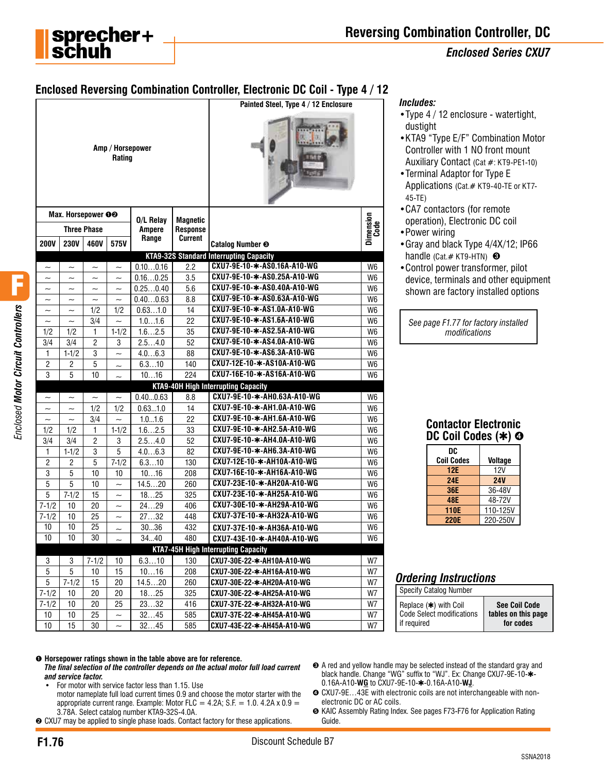

### *Enclosed Series CXU7*

# **Enclosed Reversing Combination Controller, Electronic DC Coil - Type 4 / 12**

|                           |                           |                       |                            |                            |                                    | Painted Steel, Type 4 / 12 Enclosure           |                          |
|---------------------------|---------------------------|-----------------------|----------------------------|----------------------------|------------------------------------|------------------------------------------------|--------------------------|
|                           |                           |                       | Amp / Horsepower<br>Rating |                            |                                    |                                                |                          |
|                           | Max. Horsepower OO        |                       |                            |                            |                                    |                                                |                          |
|                           |                           | <b>Three Phase</b>    |                            | 0/L Relay<br><b>Ampere</b> | <b>Magnetic</b><br><b>Response</b> |                                                | <b>Dimension</b><br>Code |
| <b>200V</b>               | <b>230V</b>               | 460V                  | 575V                       | Range                      | Current                            | Catalog Number <sup>®</sup>                    |                          |
|                           |                           |                       |                            |                            |                                    | <b>KTA9-32S Standard Interrupting Capacity</b> |                          |
| $\widetilde{\phantom{m}}$ | $\tilde{}$                | $\tilde{}$            | $\tilde{}$                 | 0.100.16                   | 2.2                                | CXU7-9E-10-*-AS0.16A-A10-WG                    | W <sub>6</sub>           |
| $\widetilde{\phantom{m}}$ | $\tilde{\phantom{a}}$     | $\tilde{}$            | $\tilde{\phantom{a}}$      | 0.160.25                   | 3.5                                | CXU7-9E-10-*-AS0.25A-A10-WG                    | W6                       |
| $\overline{\phantom{0}}$  | $\overline{\phantom{0}}$  | $\sim$                | $\sim$                     | 0.250.40                   | 5.6                                | CXU7-9E-10-*-AS0.40A-A10-WG                    | W6                       |
| $\tilde{}$                |                           | $\tilde{\phantom{a}}$ |                            | 0.400.63                   | 8.8                                | CXU7-9E-10-*-AS0.63A-A10-WG                    | W6                       |
| $\tilde{}$                | $\sim$                    | 1/2                   | 1/2                        | 0.631.0                    | 14                                 | CXU7-9E-10-*-AS1.0A-A10-WG                     | W6                       |
| $\widetilde{\phantom{m}}$ | $\sim$                    | 3/4                   | $\sim$                     | 1.01.6                     | 22                                 | CXU7-9E-10-*-AS1.6A-A10-WG                     | W <sub>6</sub>           |
| 1/2                       | 1/2                       | 1                     | $1 - 1/2$                  | 1.62.5                     | 35                                 | CXU7-9E-10-*-AS2.5A-A10-WG                     | W6                       |
| 3/4                       | 3/4                       | $\overline{c}$        | 3                          | 2.54.0                     | 52                                 | CXU7-9E-10-*-AS4.0A-A10-WG                     | W6                       |
| 1                         | $1 - 1/2$                 | 3                     | $\sim$                     | 4.06.3                     | 88                                 | CXU7-9E-10-*-AS6.3A-A10-WG                     | W6                       |
| $\sqrt{2}$                | $\mathbf{2}$              | 5                     |                            | 6.310                      | 140                                | CXU7-12E-10-*-AS10A-A10-WG                     | W <sub>6</sub>           |
| 3                         | 5                         | 10                    |                            | 1016                       | 224                                | CXU7-16E-10-*-AS16A-A10-WG                     | W <sub>6</sub>           |
|                           |                           |                       |                            |                            |                                    | <b>KTA9-40H High Interrupting Capacity</b>     |                          |
| $\widetilde{\phantom{m}}$ | $\widetilde{\phantom{m}}$ | $\tilde{\phantom{a}}$ | $\tilde{\phantom{a}}$      | 0.400.63                   | 8.8                                | CXU7-9E-10-*-AH0.63A-A10-WG                    | W <sub>6</sub>           |
| $\sim$                    | $\tilde{\phantom{a}}$     | 1/2                   | 1/2                        | 0.631.0                    | 14                                 | CXU7-9E-10-*-AH1.0A-A10-WG                     | W6                       |
| $\widetilde{\phantom{m}}$ | $\tilde{\phantom{a}}$     | 3/4                   | $\tilde{\phantom{a}}$      | 1.01.6                     | 22                                 | CXU7-9E-10-*-AH1.6A-A10-WG                     | W <sub>6</sub>           |
| 1/2                       | 1/2                       | 1                     | $1 - 1/2$                  | 1.62.5                     | 33                                 | CXU7-9E-10-*-AH2.5A-A10-WG                     | W <sub>6</sub>           |
| 3/4                       | 3/4                       | $\overline{2}$        | 3                          | 2.54.0                     | 52                                 | CXU7-9E-10-*-AH4.0A-A10-WG                     | W <sub>6</sub>           |
| $\mathbf{1}$              | $1 - 1/2$                 | 3                     | 5                          | 4.06.3                     | 82                                 | CXU7-9E-10-*-AH6.3A-A10-WG                     | W <sub>6</sub>           |
| $\overline{2}$            | 2                         | 5                     | $7 - 1/2$                  | 6.310                      | 130                                | CXU7-12E-10-*-AH10A-A10-WG                     | W <sub>6</sub>           |
| 3                         | 5                         | 10                    | 10                         | 1016                       | 208                                | CXU7-16E-10-*-AH16A-A10-WG                     | W <sub>6</sub>           |
| 5                         | 5                         | 10                    | $\tilde{\phantom{a}}$      | 14.520                     | 260                                | CXU7-23E-10-*-AH20A-A10-WG                     | W <sub>6</sub>           |
| 5                         | $7 - 1/2$                 | 15                    | $\tilde{\phantom{a}}$      | 1825                       | 325                                | CXU7-23E-10-*-AH25A-A10-WG                     | W <sub>6</sub>           |
| $7 - 1/2$                 | 10                        | 20                    | $\sim$                     | 2429                       | 406                                | CXU7-30E-10-*-AH29A-A10-WG                     | W <sub>6</sub>           |
| $7 - 1/2$                 | 10                        | 25                    | $\tilde{}$                 | 2732                       | 448                                | CXU7-37E-10-*-AH32A-A10-WG                     | W <sub>6</sub>           |
| 10                        | 10                        | 25                    | $\sim$                     | 3036                       | 432                                | CXU7-37E-10-*-AH36A-A10-WG                     | W <sub>6</sub>           |
| 10                        | 10                        | 30                    | $\tilde{\phantom{a}}$      | 3440                       | 480                                | CXU7-43E-10-*-AH40A-A10-WG                     | W6                       |
|                           |                           |                       |                            |                            |                                    | <b>KTA7-45H High Interrupting Capacity</b>     |                          |
| 3                         | 3                         | $7 - 1/2$             | 10                         | 6.310                      | 130                                | CXU7-30E-22-*-AH10A-A10-WG                     | W7                       |
| 5                         | 5                         | 10                    | 15                         | 1016                       | 208                                | CXU7-30E-22-*-AH16A-A10-WG                     | W7                       |
| 5                         | $7 - 1/2$                 | 15                    | 20                         | 14.520                     | 260                                | CXU7-30E-22-*-AH20A-A10-WG                     | W7                       |
| $7 - 1/2$                 | $10$                      | 20                    | 20                         | 1825                       | 325                                | CXU7-30E-22-*-AH25A-A10-WG                     | W7                       |
| $7 - 1/2$                 | 10                        | 20                    | 25                         | 2332                       | 416                                | CXU7-37E-22-*-AH32A-A10-WG                     | W7                       |
| 10                        | 10                        | 25                    | $\tilde{}$                 | 3245                       | 585                                | CXU7-37E-22-*-AH45A-A10-WG                     | W7                       |
| 10                        | 15                        | 30                    |                            | 3245                       | 585                                | CXU7-43E-22-*-AH45A-A10-WG                     | W7                       |

#### *Includes:*

- •Type 4 / 12 enclosure watertight, dustight
- •KTA9 "Type E/F" Combination Motor Controller with 1 NO front mount Auxiliary Contact (Cat #: KT9-PE1-10)
- •Terminal Adaptor for Type E Applications (Cat.# KT9-40-TE or KT7- 45-TE)
- •CA7 contactors (for remote operation), Electronic DC coil
- •Power wiring
- •Gray and black Type 4/4X/12; IP66 handle (Cat.# KT9-HTN) <sup>8</sup>
- •Control power transformer, pilot device, terminals and other equipment shown are factory installed options

*See page F1.77 for factory installed modifications*

| <b>Contactor Electronic</b><br>DC Coil Codes (*) @ |                |  |  |
|----------------------------------------------------|----------------|--|--|
| DC                                                 |                |  |  |
| <b>Coil Codes</b>                                  | <b>Voltage</b> |  |  |
| <b>12E</b>                                         | 12V            |  |  |
| <b>24E</b>                                         | <b>24V</b>     |  |  |
| <b>36E</b>                                         | 36-48V         |  |  |
| <b>48E</b>                                         | 48-72V         |  |  |

**110E** 110-125V<br>**220E** 220-250V

**220E** 220-250V

# *Ordering Instructions*

Specify Catalog Number

| Replace (*) with Coil     | <b>See Coil Code</b> |
|---------------------------|----------------------|
| Code Select modifications | tables on this page  |
| l if required             | for codes            |

#### ➊ **Horsepower ratings shown in the table above are for reference.**

- *The final selection of the controller depends on the actual motor full load current and service factor.*
	- For motor with service factor less than 1.15. Use
	- motor nameplate full load current times 0.9 and choose the motor starter with the appropriate current range. Example: Motor FLC =  $4.2A$ ; S.F. = 1.0.  $4.2A \times 0.9$  = 3.78A. Select catalog number KTA9-32S-4.0A.
- **<sup>●</sup>** CXU7 may be applied to single phase loads. Contact factory for these applications.
- ➌ A red and yellow handle may be selected instead of the standard gray and black handle. Change "WG" suffix to "WJ". Ex: Change CXU7-9E-10- $*$ -0.16A-A10-**WG** to CXU7-9E-10-✱-0.16A-A10-**WJ**.
- **☉** CXU7-9E...43E with electronic coils are not interchangeable with nonelectronic DC or AC coils.
- ➎ KAIC Assembly Rating Index. See pages F73-F76 for Application Rating Guide.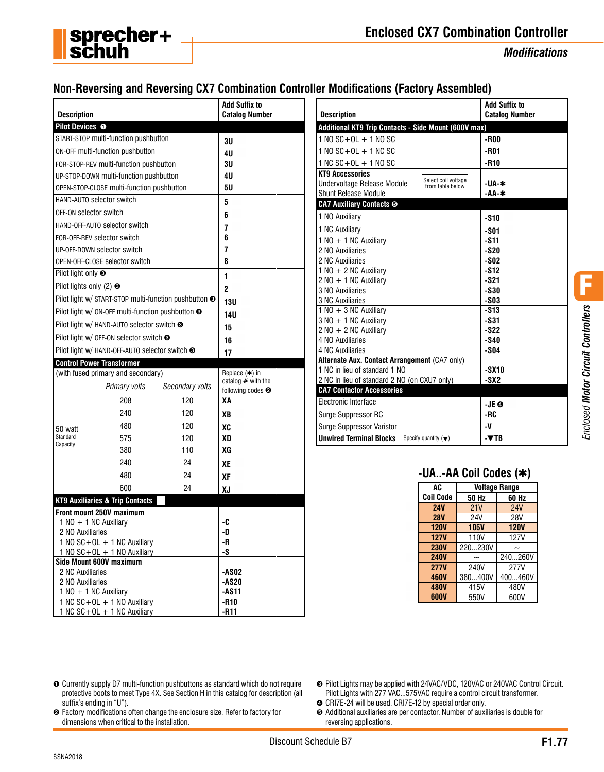

# **Enclosed CX7 Combination Controller**

*Modifications*

# **Non-Reversing and Reversing CX7 Combination Controller Modifications (Factory Assembled)**

| <b>Description</b>                          |                                                              |                                                                  | <b>Add Suffix to</b><br><b>Catalog Number</b> | <b>Description</b>                                                        |                       | <b>Add Suffix to</b><br><b>Catalog Number</b> |  |
|---------------------------------------------|--------------------------------------------------------------|------------------------------------------------------------------|-----------------------------------------------|---------------------------------------------------------------------------|-----------------------|-----------------------------------------------|--|
| Pilot Devices O                             |                                                              |                                                                  |                                               | Additional KT9 Trip Contacts - Side Mount (600V max)                      |                       |                                               |  |
|                                             | START-STOP multi-function pushbutton                         |                                                                  | 3U                                            | $1 N0 SC + OL + 1 NO SC$                                                  | -R00                  |                                               |  |
|                                             | ON-OFF multi-function pushbutton                             |                                                                  | 4U                                            | $1 N0 SC + OL + 1 NC SC$                                                  | $-R01$                |                                               |  |
|                                             | FOR-STOP-REV multi-function pushbutton                       |                                                                  | 3U                                            | $1NC$ SC + OL + 1 NO SC                                                   | -R10                  |                                               |  |
|                                             | UP-STOP-DOWN multi-function pushbutton                       |                                                                  | 4U                                            | <b>KT9 Accessories</b>                                                    |                       |                                               |  |
|                                             | OPEN-STOP-CLOSE multi-function pushbutton                    |                                                                  | <b>5U</b>                                     | Select coil voltage<br>Undervoltage Release Module<br>from table below    |                       | -UA-∗                                         |  |
|                                             | HAND-AUTO selector switch                                    |                                                                  |                                               | Shunt Release Module                                                      |                       | -АА-*                                         |  |
|                                             |                                                              |                                                                  | 5                                             | <b>CA7 Auxiliary Contacts ®</b>                                           |                       |                                               |  |
| OFF-ON selector switch                      |                                                              |                                                                  | 6                                             | 1 NO Auxiliary                                                            | $-510$                |                                               |  |
|                                             | HAND-OFF-AUTO selector switch                                |                                                                  | 7                                             | 1 NC Auxiliary                                                            | $-801$                |                                               |  |
|                                             | FOR-OFF-REV selector switch                                  |                                                                  | 6                                             | $1 N0 + 1 NC$ Auxiliary                                                   | $-$ S11               |                                               |  |
|                                             | UP-OFF-DOWN selector switch                                  |                                                                  | 7                                             | 2 NO Auxiliaries                                                          | $-S20$                |                                               |  |
|                                             | OPEN-OFF-CLOSE selector switch                               |                                                                  | 8                                             | 2 NC Auxiliaries                                                          | $-502$                |                                               |  |
| Pilot light only <sup>●</sup>               |                                                              |                                                                  | 1                                             | 1 NO + 2 NC Auxiliary                                                     | $-512$                |                                               |  |
| Pilot lights only (2) <sup>●</sup>          |                                                              |                                                                  |                                               | $2$ NO $+$ 1 NC Auxiliary                                                 | $-$ S21               |                                               |  |
|                                             |                                                              | Pilot light w/ START-STOP multi-function pushbutton <sup>®</sup> | $\boldsymbol{2}$                              | 3 NO Auxiliaries<br>3 NC Auxiliaries                                      | $-$ \$30              |                                               |  |
|                                             |                                                              |                                                                  | <b>13U</b>                                    | $1 N0 + 3 NC$ Auxiliary                                                   | $-503$<br>$-S13$      |                                               |  |
|                                             | Pilot light w/ ON-OFF multi-function pushbutton <sup>●</sup> |                                                                  | <b>14U</b>                                    | 3 NO + 1 NC Auxiliary                                                     | $-$ S31               |                                               |  |
|                                             | Pilot light w/ HAND-AUTO selector switch <sup>®</sup>        |                                                                  | 15                                            | $2$ NO + 2 NC Auxiliary                                                   |                       | $-S22$                                        |  |
|                                             | Pilot light w/ OFF-ON selector switch <sup>O</sup>           |                                                                  | 16                                            | 4 NO Auxiliaries                                                          | $-$ S40               |                                               |  |
|                                             | Pilot light w/ HAND-OFF-AUTO selector switch <sup>®</sup>    |                                                                  | 17                                            | 4 NC Auxiliaries                                                          | $-$ SO4               |                                               |  |
|                                             | <b>Control Power Transformer</b>                             |                                                                  |                                               | Alternate Aux. Contact Arrangement (CA7 only)                             |                       |                                               |  |
|                                             | (with fused primary and secondary)                           |                                                                  | Replace (*) in                                | 1 NC in lieu of standard 1 NO                                             | $-SX10$               |                                               |  |
|                                             | Primary volts                                                | Secondary volts                                                  | catalog $#$ with the                          | 2 NC in lieu of standard 2 NO (on CXU7 only)                              | $-SX2$                |                                               |  |
|                                             |                                                              |                                                                  | following codes <sup>o</sup>                  | <b>CA7 Contactor Accessories</b>                                          |                       |                                               |  |
|                                             | 208                                                          | 120                                                              | XA                                            | Electronic Interface                                                      | -JE O                 |                                               |  |
|                                             | 240                                                          | 120                                                              | XB                                            | Surge Suppressor RC                                                       | -RC                   |                                               |  |
| 50 watt                                     | 480                                                          | 120                                                              | XC                                            | <b>Surge Suppressor Varistor</b>                                          | -V                    |                                               |  |
| Standard                                    | 575                                                          | 120                                                              | <b>XD</b>                                     | <b>Unwired Terminal Blocks</b><br>Specify quantity $(\blacktriangledown)$ | $-TB$                 |                                               |  |
| Capacity                                    | 380                                                          | 110                                                              | XG                                            |                                                                           |                       |                                               |  |
|                                             | 240                                                          | 24                                                               | XE                                            |                                                                           |                       |                                               |  |
|                                             | 480                                                          | 24                                                               | XF                                            |                                                                           | -UA-AA Coil Codes (*) |                                               |  |
|                                             | 600                                                          | 24                                                               |                                               | AC                                                                        |                       | <b>Voltage Range</b>                          |  |
|                                             |                                                              |                                                                  | XJ                                            | <b>Coil Code</b>                                                          | 50 Hz                 | 60 Hz                                         |  |
|                                             | <b>KT9 Auxiliaries &amp; Trip Contacts</b>                   |                                                                  |                                               | <b>24V</b>                                                                | 21V                   | <b>24V</b>                                    |  |
|                                             | Front mount 250V maximum                                     |                                                                  |                                               | <b>28V</b>                                                                | <b>24V</b>            | <b>28V</b>                                    |  |
| $1 NQ + 1 NC$ Auxiliary<br>2 NO Auxiliaries |                                                              |                                                                  | -C<br>-D                                      | <b>120V</b>                                                               | <b>105V</b>           | <b>120V</b>                                   |  |
|                                             | $1$ NO SC + OL + 1 NC Auxiliary                              |                                                                  | -R                                            | 127V                                                                      | <b>110V</b>           | 127V                                          |  |
|                                             | $1 N0 SC + OL + 1 N0$ Auxiliary                              |                                                                  | $-S$                                          | <b>230V</b>                                                               | 220230V               | $\widetilde{\phantom{m}}$                     |  |
|                                             | Side Mount 600V maximum                                      |                                                                  |                                               | <b>240V</b>                                                               | $\tilde{}$            | 240260V                                       |  |
| 2 NC Auxiliaries                            |                                                              |                                                                  | <b>-AS02</b>                                  | <b>277V</b>                                                               | 240V                  | 277V                                          |  |
| 2 NO Auxiliaries                            |                                                              |                                                                  | <b>-AS20</b>                                  | <b>460V</b>                                                               | 380400V               | 400460V                                       |  |
| $1 N0 + 1 NC$ Auxiliary                     |                                                              |                                                                  | $-AS11$                                       | <b>480V</b>                                                               | 415V                  | 480V                                          |  |
|                                             | 1 NC SC+OL + 1 NO Auxiliary                                  |                                                                  | $-R10$                                        | 600V                                                                      | 550V                  | 600V                                          |  |

- ➊ Currently supply D7 multi-function pushbuttons as standard which do not require protective boots to meet Type 4X. See Section H in this catalog for description (all suffix's ending in "U").
- ➋ Factory modifications often change the enclosure size. Refer to factory for dimensions when critical to the installation.
- ➌ Pilot Lights may be applied with 24VAC/VDC, 120VAC or 240VAC Control Circuit. Pilot Lights with 277 VAC...575VAC require a control circuit transformer.
- ➍ CRI7E-24 will be used. CRI7E-12 by special order only.
- ➎ Additional auxiliaries are per contactor. Number of auxiliaries is double for reversing applications.

F